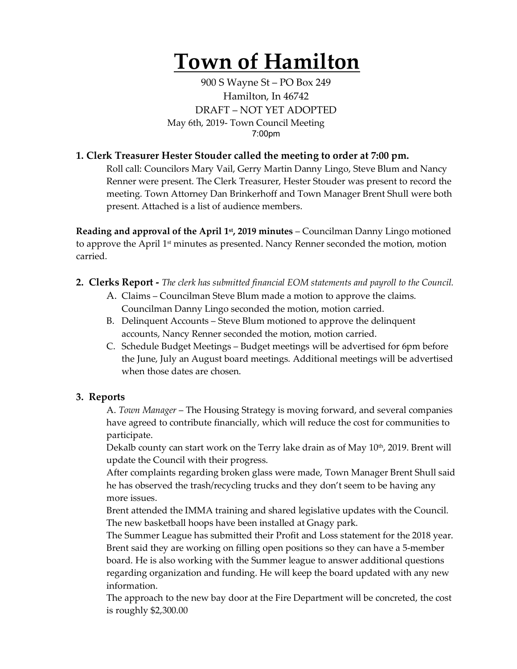# **Town of Hamilton**

900 S Wayne St – PO Box 249 Hamilton, In 46742 DRAFT – NOT YET ADOPTED May 6th, 2019- Town Council Meeting 7:00pm

### **1. Clerk Treasurer Hester Stouder called the meeting to order at 7:00 pm.**

Roll call: Councilors Mary Vail, Gerry Martin Danny Lingo, Steve Blum and Nancy Renner were present. The Clerk Treasurer, Hester Stouder was present to record the meeting. Town Attorney Dan Brinkerhoff and Town Manager Brent Shull were both present. Attached is a list of audience members.

**Reading and approval of the April 1st, 2019 minutes** – Councilman Danny Lingo motioned to approve the April  $1<sup>st</sup>$  minutes as presented. Nancy Renner seconded the motion, motion carried.

- **2. Clerks Report -** *The clerk has submitted financial EOM statements and payroll to the Council.* 
	- A. Claims Councilman Steve Blum made a motion to approve the claims. Councilman Danny Lingo seconded the motion, motion carried.
	- B. Delinquent Accounts Steve Blum motioned to approve the delinquent accounts, Nancy Renner seconded the motion, motion carried.
	- C. Schedule Budget Meetings Budget meetings will be advertised for 6pm before the June, July an August board meetings. Additional meetings will be advertised when those dates are chosen.

#### **3. Reports**

A. *Town Manager* – The Housing Strategy is moving forward, and several companies have agreed to contribute financially, which will reduce the cost for communities to participate.

Dekalb county can start work on the Terry lake drain as of May  $10<sup>th</sup>$ , 2019. Brent will update the Council with their progress.

After complaints regarding broken glass were made, Town Manager Brent Shull said he has observed the trash/recycling trucks and they don't seem to be having any more issues.

Brent attended the IMMA training and shared legislative updates with the Council. The new basketball hoops have been installed at Gnagy park.

The Summer League has submitted their Profit and Loss statement for the 2018 year. Brent said they are working on filling open positions so they can have a 5-member board. He is also working with the Summer league to answer additional questions regarding organization and funding. He will keep the board updated with any new information.

The approach to the new bay door at the Fire Department will be concreted, the cost is roughly \$2,300.00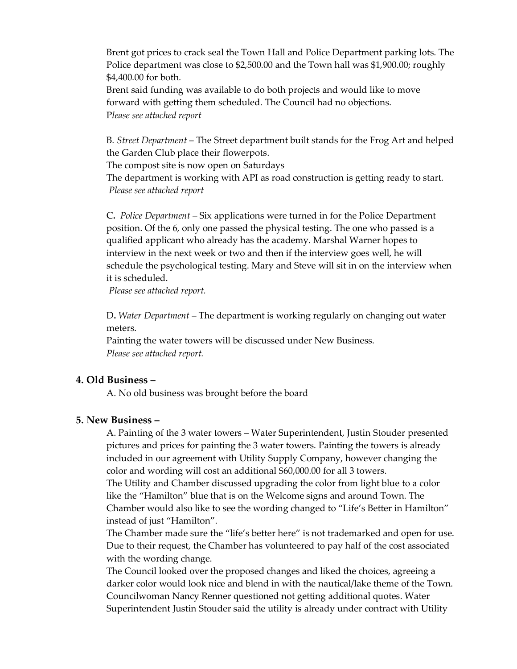Brent got prices to crack seal the Town Hall and Police Department parking lots. The Police department was close to \$2,500.00 and the Town hall was \$1,900.00; roughly \$4,400.00 for both.

Brent said funding was available to do both projects and would like to move forward with getting them scheduled. The Council had no objections. P*lease see attached report*

B*. Street Department* – The Street department built stands for the Frog Art and helped the Garden Club place their flowerpots.

The compost site is now open on Saturdays

The department is working with API as road construction is getting ready to start. *Please see attached report*

C**.** *Police Department –* Six applications were turned in for the Police Department position. Of the 6, only one passed the physical testing. The one who passed is a qualified applicant who already has the academy. Marshal Warner hopes to interview in the next week or two and then if the interview goes well, he will schedule the psychological testing. Mary and Steve will sit in on the interview when it is scheduled.

*Please see attached report.*

D**.** *Water Department* – The department is working regularly on changing out water meters.

Painting the water towers will be discussed under New Business. *Please see attached report.* 

#### **4. Old Business –**

A. No old business was brought before the board

#### **5. New Business –**

A. Painting of the 3 water towers – Water Superintendent, Justin Stouder presented pictures and prices for painting the 3 water towers. Painting the towers is already included in our agreement with Utility Supply Company, however changing the color and wording will cost an additional \$60,000.00 for all 3 towers. The Utility and Chamber discussed upgrading the color from light blue to a color like the "Hamilton" blue that is on the Welcome signs and around Town. The

Chamber would also like to see the wording changed to "Life's Better in Hamilton" instead of just "Hamilton".

The Chamber made sure the "life's better here" is not trademarked and open for use. Due to their request, the Chamber has volunteered to pay half of the cost associated with the wording change.

The Council looked over the proposed changes and liked the choices, agreeing a darker color would look nice and blend in with the nautical/lake theme of the Town. Councilwoman Nancy Renner questioned not getting additional quotes. Water Superintendent Justin Stouder said the utility is already under contract with Utility